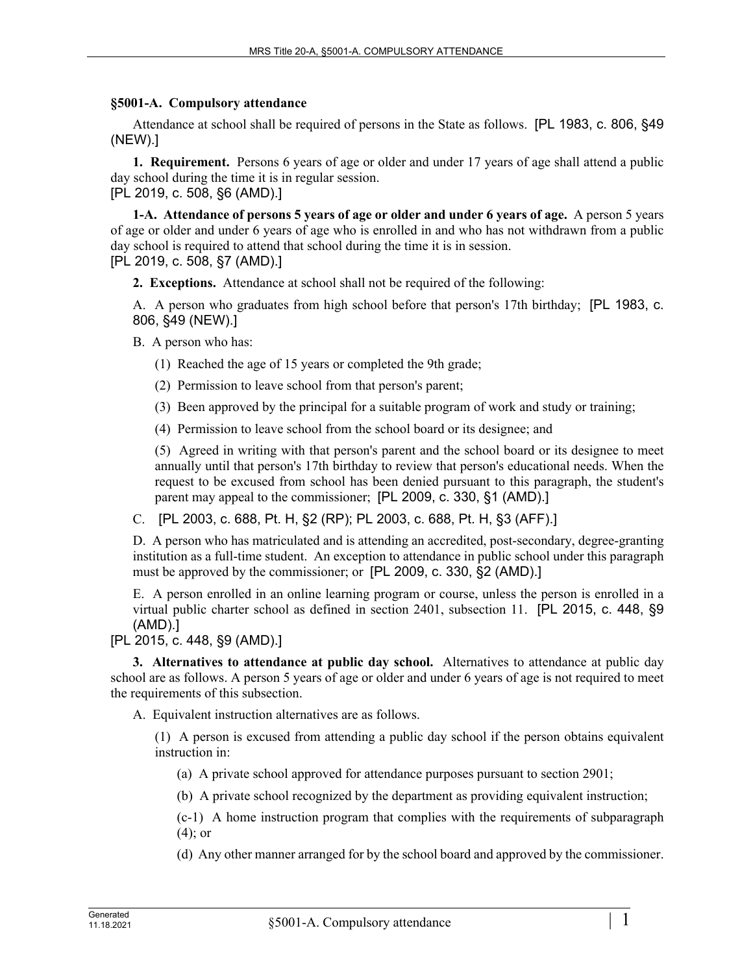## **§5001-A. Compulsory attendance**

Attendance at school shall be required of persons in the State as follows. [PL 1983, c. 806, §49 (NEW).]

**1. Requirement.** Persons 6 years of age or older and under 17 years of age shall attend a public day school during the time it is in regular session. [PL 2019, c. 508, §6 (AMD).]

**1-A. Attendance of persons 5 years of age or older and under 6 years of age.** A person 5 years of age or older and under 6 years of age who is enrolled in and who has not withdrawn from a public day school is required to attend that school during the time it is in session.

[PL 2019, c. 508, §7 (AMD).]

**2. Exceptions.** Attendance at school shall not be required of the following:

A. A person who graduates from high school before that person's 17th birthday; [PL 1983, c. 806, §49 (NEW).]

B. A person who has:

(1) Reached the age of 15 years or completed the 9th grade;

(2) Permission to leave school from that person's parent;

(3) Been approved by the principal for a suitable program of work and study or training;

(4) Permission to leave school from the school board or its designee; and

(5) Agreed in writing with that person's parent and the school board or its designee to meet annually until that person's 17th birthday to review that person's educational needs. When the request to be excused from school has been denied pursuant to this paragraph, the student's parent may appeal to the commissioner; [PL 2009, c. 330, §1 (AMD).]

C. [PL 2003, c. 688, Pt. H, §2 (RP); PL 2003, c. 688, Pt. H, §3 (AFF).]

D. A person who has matriculated and is attending an accredited, post-secondary, degree-granting institution as a full-time student. An exception to attendance in public school under this paragraph must be approved by the commissioner; or [PL 2009, c. 330, §2 (AMD).]

E. A person enrolled in an online learning program or course, unless the person is enrolled in a virtual public charter school as defined in section 2401, subsection 11. [PL 2015, c. 448, §9 (AMD).]

[PL 2015, c. 448, §9 (AMD).]

**3. Alternatives to attendance at public day school.** Alternatives to attendance at public day school are as follows. A person 5 years of age or older and under 6 years of age is not required to meet the requirements of this subsection.

A. Equivalent instruction alternatives are as follows.

(1) A person is excused from attending a public day school if the person obtains equivalent instruction in:

(a) A private school approved for attendance purposes pursuant to section 2901;

(b) A private school recognized by the department as providing equivalent instruction;

(c-1) A home instruction program that complies with the requirements of subparagraph (4); or

(d) Any other manner arranged for by the school board and approved by the commissioner.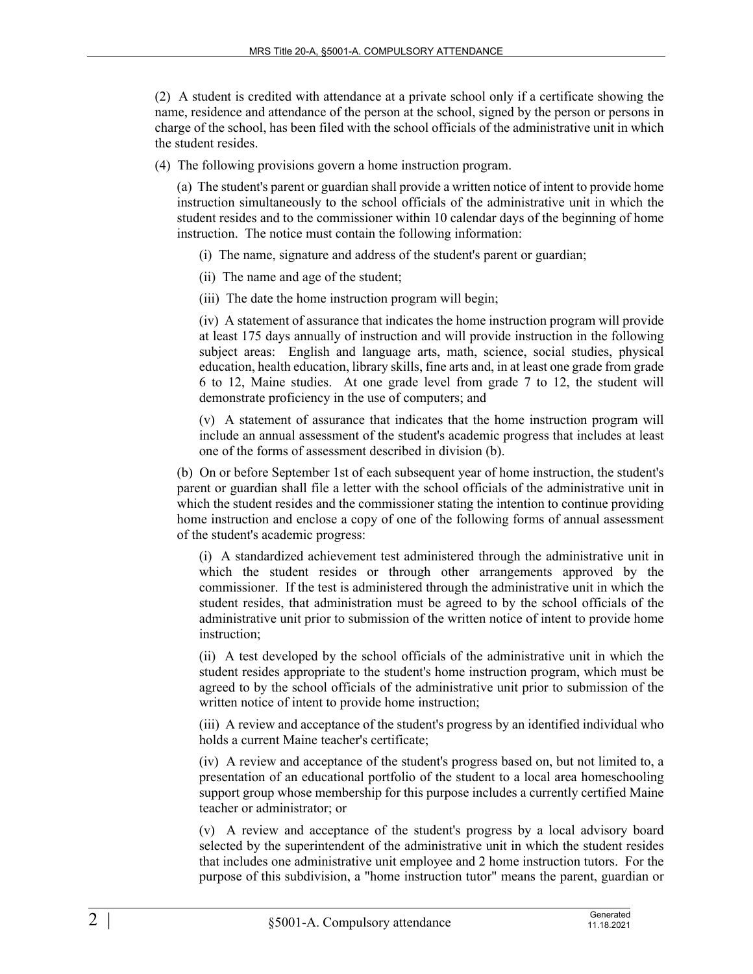(2) A student is credited with attendance at a private school only if a certificate showing the name, residence and attendance of the person at the school, signed by the person or persons in charge of the school, has been filed with the school officials of the administrative unit in which the student resides.

(4) The following provisions govern a home instruction program.

(a) The student's parent or guardian shall provide a written notice of intent to provide home instruction simultaneously to the school officials of the administrative unit in which the student resides and to the commissioner within 10 calendar days of the beginning of home instruction. The notice must contain the following information:

- (i) The name, signature and address of the student's parent or guardian;
- (ii) The name and age of the student;
- (iii) The date the home instruction program will begin;

(iv) A statement of assurance that indicates the home instruction program will provide at least 175 days annually of instruction and will provide instruction in the following subject areas: English and language arts, math, science, social studies, physical education, health education, library skills, fine arts and, in at least one grade from grade 6 to 12, Maine studies. At one grade level from grade 7 to 12, the student will demonstrate proficiency in the use of computers; and

(v) A statement of assurance that indicates that the home instruction program will include an annual assessment of the student's academic progress that includes at least one of the forms of assessment described in division (b).

(b) On or before September 1st of each subsequent year of home instruction, the student's parent or guardian shall file a letter with the school officials of the administrative unit in which the student resides and the commissioner stating the intention to continue providing home instruction and enclose a copy of one of the following forms of annual assessment of the student's academic progress:

(i) A standardized achievement test administered through the administrative unit in which the student resides or through other arrangements approved by the commissioner. If the test is administered through the administrative unit in which the student resides, that administration must be agreed to by the school officials of the administrative unit prior to submission of the written notice of intent to provide home instruction;

(ii) A test developed by the school officials of the administrative unit in which the student resides appropriate to the student's home instruction program, which must be agreed to by the school officials of the administrative unit prior to submission of the written notice of intent to provide home instruction;

(iii) A review and acceptance of the student's progress by an identified individual who holds a current Maine teacher's certificate;

(iv) A review and acceptance of the student's progress based on, but not limited to, a presentation of an educational portfolio of the student to a local area homeschooling support group whose membership for this purpose includes a currently certified Maine teacher or administrator; or

(v) A review and acceptance of the student's progress by a local advisory board selected by the superintendent of the administrative unit in which the student resides that includes one administrative unit employee and 2 home instruction tutors. For the purpose of this subdivision, a "home instruction tutor" means the parent, guardian or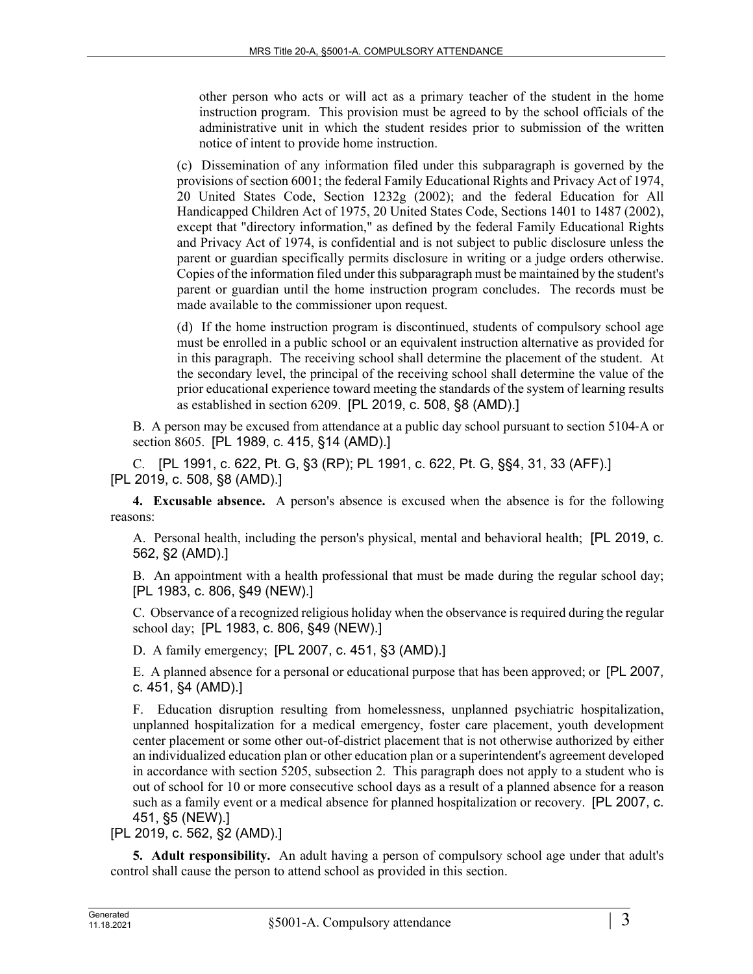other person who acts or will act as a primary teacher of the student in the home instruction program. This provision must be agreed to by the school officials of the administrative unit in which the student resides prior to submission of the written notice of intent to provide home instruction.

(c) Dissemination of any information filed under this subparagraph is governed by the provisions of section 6001; the federal Family Educational Rights and Privacy Act of 1974, 20 United States Code, Section 1232g (2002); and the federal Education for All Handicapped Children Act of 1975, 20 United States Code, Sections 1401 to 1487 (2002), except that "directory information," as defined by the federal Family Educational Rights and Privacy Act of 1974, is confidential and is not subject to public disclosure unless the parent or guardian specifically permits disclosure in writing or a judge orders otherwise. Copies of the information filed under this subparagraph must be maintained by the student's parent or guardian until the home instruction program concludes. The records must be made available to the commissioner upon request.

(d) If the home instruction program is discontinued, students of compulsory school age must be enrolled in a public school or an equivalent instruction alternative as provided for in this paragraph. The receiving school shall determine the placement of the student. At the secondary level, the principal of the receiving school shall determine the value of the prior educational experience toward meeting the standards of the system of learning results as established in section 6209. [PL 2019, c. 508, §8 (AMD).]

B. A person may be excused from attendance at a public day school pursuant to section 5104‑A or section 8605. [PL 1989, c. 415, §14 (AMD).]

C. [PL 1991, c. 622, Pt. G, §3 (RP); PL 1991, c. 622, Pt. G, §§4, 31, 33 (AFF).] [PL 2019, c. 508, §8 (AMD).]

**4. Excusable absence.** A person's absence is excused when the absence is for the following reasons:

A. Personal health, including the person's physical, mental and behavioral health; [PL 2019, c. 562, §2 (AMD).]

B. An appointment with a health professional that must be made during the regular school day; [PL 1983, c. 806, §49 (NEW).]

C. Observance of a recognized religious holiday when the observance is required during the regular school day; [PL 1983, c. 806, §49 (NEW).]

D. A family emergency; [PL 2007, c. 451, §3 (AMD).]

E. A planned absence for a personal or educational purpose that has been approved; or [PL 2007, c. 451, §4 (AMD).]

F. Education disruption resulting from homelessness, unplanned psychiatric hospitalization, unplanned hospitalization for a medical emergency, foster care placement, youth development center placement or some other out-of-district placement that is not otherwise authorized by either an individualized education plan or other education plan or a superintendent's agreement developed in accordance with section 5205, subsection 2. This paragraph does not apply to a student who is out of school for 10 or more consecutive school days as a result of a planned absence for a reason such as a family event or a medical absence for planned hospitalization or recovery. [PL 2007, c. 451, §5 (NEW).]

[PL 2019, c. 562, §2 (AMD).]

**5. Adult responsibility.** An adult having a person of compulsory school age under that adult's control shall cause the person to attend school as provided in this section.